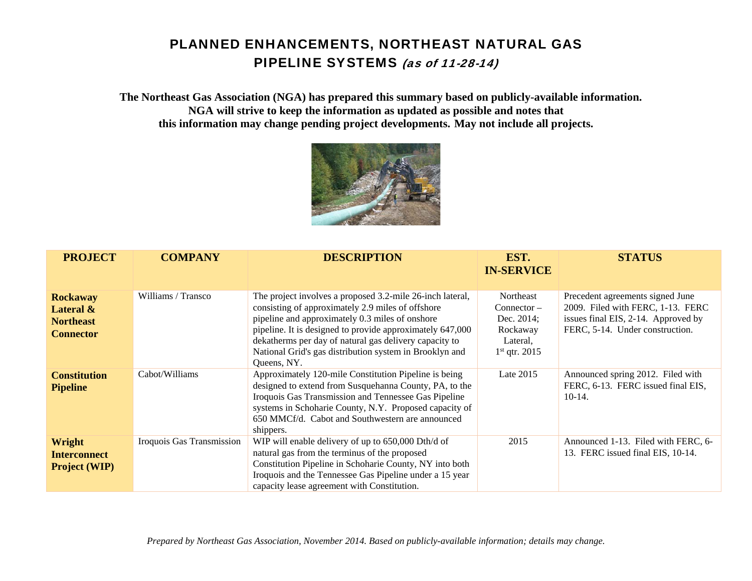**The Northeast Gas Association (NGA) has prepared this summary based on publicly-available information. NGA will strive to keep the information as updated as possible and notes that this information may change pending project developments. May not include all projects.** 



| <b>PROJECT</b>                                                       | <b>COMPANY</b>            | <b>DESCRIPTION</b>                                                                                                                                                                                                                                                                                                                                                 | EST.<br><b>IN-SERVICE</b>                                                           | <b>STATUS</b>                                                                                                                                   |
|----------------------------------------------------------------------|---------------------------|--------------------------------------------------------------------------------------------------------------------------------------------------------------------------------------------------------------------------------------------------------------------------------------------------------------------------------------------------------------------|-------------------------------------------------------------------------------------|-------------------------------------------------------------------------------------------------------------------------------------------------|
| <b>Rockaway</b><br>Lateral &<br><b>Northeast</b><br><b>Connector</b> | Williams / Transco        | The project involves a proposed 3.2-mile 26-inch lateral,<br>consisting of approximately 2.9 miles of offshore<br>pipeline and approximately 0.3 miles of onshore<br>pipeline. It is designed to provide approximately 647,000<br>dekatherms per day of natural gas delivery capacity to<br>National Grid's gas distribution system in Brooklyn and<br>Queens, NY. | Northeast<br>$Connector -$<br>Dec. 2014;<br>Rockaway<br>Lateral.<br>$1st$ qtr. 2015 | Precedent agreements signed June<br>2009. Filed with FERC, 1-13. FERC<br>issues final EIS, 2-14. Approved by<br>FERC, 5-14. Under construction. |
| <b>Constitution</b><br><b>Pipeline</b>                               | Cabot/Williams            | Approximately 120-mile Constitution Pipeline is being<br>designed to extend from Susquehanna County, PA, to the<br>Iroquois Gas Transmission and Tennessee Gas Pipeline<br>systems in Schoharie County, N.Y. Proposed capacity of<br>650 MMCf/d. Cabot and Southwestern are announced<br>shippers.                                                                 | Late 2015                                                                           | Announced spring 2012. Filed with<br>FERC, 6-13. FERC issued final EIS,<br>$10-14.$                                                             |
| Wright<br><b>Interconnect</b><br><b>Project (WIP)</b>                | Iroquois Gas Transmission | WIP will enable delivery of up to 650,000 Dth/d of<br>natural gas from the terminus of the proposed<br>Constitution Pipeline in Schoharie County, NY into both<br>Iroquois and the Tennessee Gas Pipeline under a 15 year<br>capacity lease agreement with Constitution.                                                                                           | 2015                                                                                | Announced 1-13. Filed with FERC, 6-<br>13. FERC issued final EIS, 10-14.                                                                        |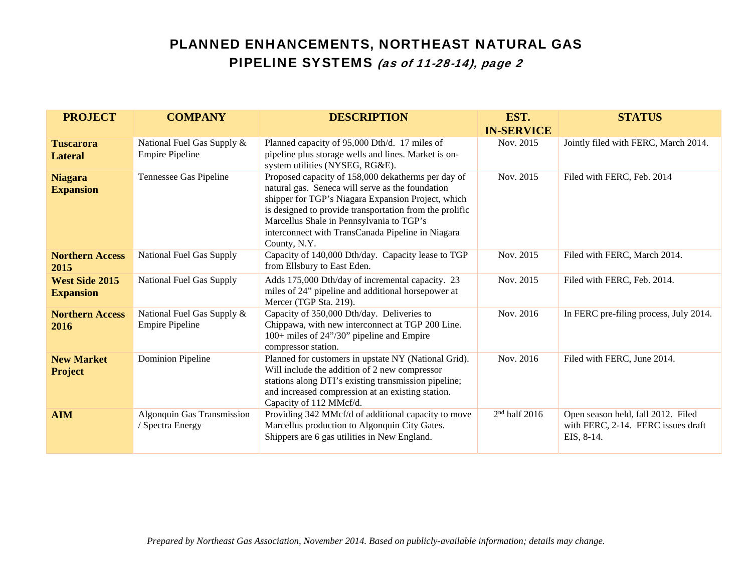| <b>PROJECT</b>                            | <b>COMPANY</b>                                       | <b>DESCRIPTION</b>                                                                                                                                                                                                                                                                                                                       | EST.<br><b>IN-SERVICE</b> | <b>STATUS</b>                                                                          |
|-------------------------------------------|------------------------------------------------------|------------------------------------------------------------------------------------------------------------------------------------------------------------------------------------------------------------------------------------------------------------------------------------------------------------------------------------------|---------------------------|----------------------------------------------------------------------------------------|
| <b>Tuscarora</b><br><b>Lateral</b>        | National Fuel Gas Supply &<br><b>Empire Pipeline</b> | Planned capacity of 95,000 Dth/d. 17 miles of<br>pipeline plus storage wells and lines. Market is on-<br>system utilities (NYSEG, RG&E).                                                                                                                                                                                                 | Nov. 2015                 | Jointly filed with FERC, March 2014.                                                   |
| <b>Niagara</b><br><b>Expansion</b>        | Tennessee Gas Pipeline                               | Proposed capacity of 158,000 dekatherms per day of<br>natural gas. Seneca will serve as the foundation<br>shipper for TGP's Niagara Expansion Project, which<br>is designed to provide transportation from the prolific<br>Marcellus Shale in Pennsylvania to TGP's<br>interconnect with TransCanada Pipeline in Niagara<br>County, N.Y. | Nov. 2015                 | Filed with FERC, Feb. 2014                                                             |
| <b>Northern Access</b><br>2015            | National Fuel Gas Supply                             | Capacity of 140,000 Dth/day. Capacity lease to TGP<br>from Ellsbury to East Eden.                                                                                                                                                                                                                                                        | Nov. 2015                 | Filed with FERC, March 2014.                                                           |
| <b>West Side 2015</b><br><b>Expansion</b> | National Fuel Gas Supply                             | Adds 175,000 Dth/day of incremental capacity. 23<br>miles of 24" pipeline and additional horsepower at<br>Mercer (TGP Sta. 219).                                                                                                                                                                                                         | Nov. 2015                 | Filed with FERC, Feb. 2014.                                                            |
| <b>Northern Access</b><br>2016            | National Fuel Gas Supply &<br><b>Empire Pipeline</b> | Capacity of 350,000 Dth/day. Deliveries to<br>Chippawa, with new interconnect at TGP 200 Line.<br>100+ miles of 24"/30" pipeline and Empire<br>compressor station.                                                                                                                                                                       | Nov. 2016                 | In FERC pre-filing process, July 2014.                                                 |
| <b>New Market</b><br><b>Project</b>       | <b>Dominion Pipeline</b>                             | Planned for customers in upstate NY (National Grid).<br>Will include the addition of 2 new compressor<br>stations along DTI's existing transmission pipeline;<br>and increased compression at an existing station.<br>Capacity of 112 MMcf/d.                                                                                            | Nov. 2016                 | Filed with FERC, June 2014.                                                            |
| <b>AIM</b>                                | Algonquin Gas Transmission<br>/ Spectra Energy       | Providing 342 MMcf/d of additional capacity to move<br>Marcellus production to Algonquin City Gates.<br>Shippers are 6 gas utilities in New England.                                                                                                                                                                                     | $2nd$ half 2016           | Open season held, fall 2012. Filed<br>with FERC, 2-14. FERC issues draft<br>EIS, 8-14. |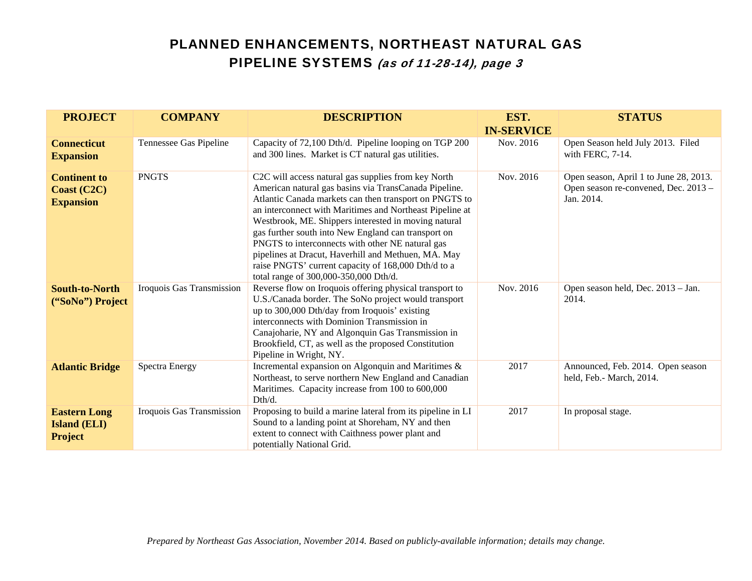| <b>PROJECT</b>                                               | <b>COMPANY</b>            | <b>DESCRIPTION</b>                                                                                                                                                                                                                                                                                                                                                                                                                                                                                                                                           | EST.<br><b>IN-SERVICE</b> | <b>STATUS</b>                                                                                |
|--------------------------------------------------------------|---------------------------|--------------------------------------------------------------------------------------------------------------------------------------------------------------------------------------------------------------------------------------------------------------------------------------------------------------------------------------------------------------------------------------------------------------------------------------------------------------------------------------------------------------------------------------------------------------|---------------------------|----------------------------------------------------------------------------------------------|
| <b>Connecticut</b><br><b>Expansion</b>                       | Tennessee Gas Pipeline    | Capacity of 72,100 Dth/d. Pipeline looping on TGP 200<br>and 300 lines. Market is CT natural gas utilities.                                                                                                                                                                                                                                                                                                                                                                                                                                                  | Nov. 2016                 | Open Season held July 2013. Filed<br>with FERC, 7-14.                                        |
| <b>Continent to</b><br>Coast (C2C)<br><b>Expansion</b>       | <b>PNGTS</b>              | C2C will access natural gas supplies from key North<br>American natural gas basins via TransCanada Pipeline.<br>Atlantic Canada markets can then transport on PNGTS to<br>an interconnect with Maritimes and Northeast Pipeline at<br>Westbrook, ME. Shippers interested in moving natural<br>gas further south into New England can transport on<br>PNGTS to interconnects with other NE natural gas<br>pipelines at Dracut, Haverhill and Methuen, MA. May<br>raise PNGTS' current capacity of 168,000 Dth/d to a<br>total range of 300,000-350,000 Dth/d. | Nov. 2016                 | Open season, April 1 to June 28, 2013.<br>Open season re-convened, Dec. 2013 -<br>Jan. 2014. |
| <b>South-to-North</b><br>("SoNo") Project                    | Iroquois Gas Transmission | Reverse flow on Iroquois offering physical transport to<br>U.S./Canada border. The SoNo project would transport<br>up to 300,000 Dth/day from Iroquois' existing<br>interconnects with Dominion Transmission in<br>Canajoharie, NY and Algonquin Gas Transmission in<br>Brookfield, CT, as well as the proposed Constitution<br>Pipeline in Wright, NY.                                                                                                                                                                                                      | Nov. 2016                 | Open season held, Dec. 2013 - Jan.<br>2014.                                                  |
| <b>Atlantic Bridge</b>                                       | <b>Spectra Energy</b>     | Incremental expansion on Algonquin and Maritimes &<br>Northeast, to serve northern New England and Canadian<br>Maritimes. Capacity increase from 100 to 600,000<br>Dth/d.                                                                                                                                                                                                                                                                                                                                                                                    | 2017                      | Announced, Feb. 2014. Open season<br>held, Feb.- March, 2014.                                |
| <b>Eastern Long</b><br><b>Island (ELI)</b><br><b>Project</b> | Iroquois Gas Transmission | Proposing to build a marine lateral from its pipeline in LI<br>Sound to a landing point at Shoreham, NY and then<br>extent to connect with Caithness power plant and<br>potentially National Grid.                                                                                                                                                                                                                                                                                                                                                           | 2017                      | In proposal stage.                                                                           |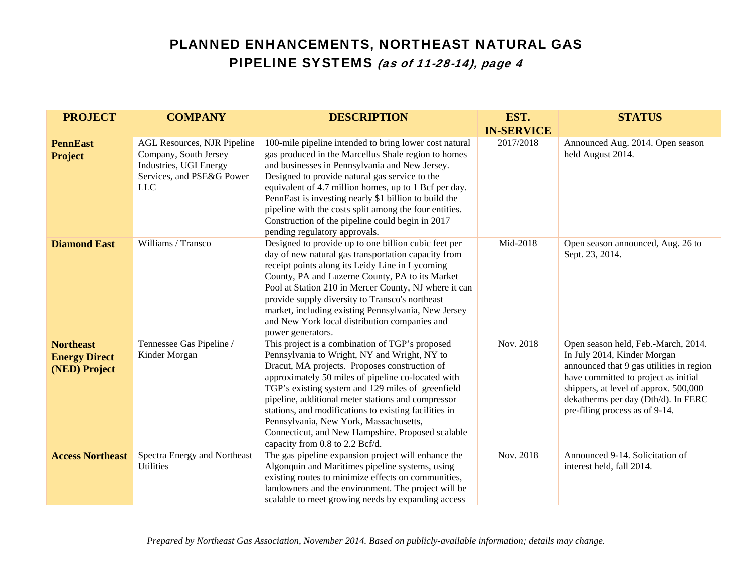| <b>PROJECT</b>                                            | <b>COMPANY</b>                                                                                                                   | <b>DESCRIPTION</b>                                                                                                                                                                                                                                                                                                                                                                                                                                                                                           | EST.              | <b>STATUS</b>                                                                                                                                                                                                                                                            |
|-----------------------------------------------------------|----------------------------------------------------------------------------------------------------------------------------------|--------------------------------------------------------------------------------------------------------------------------------------------------------------------------------------------------------------------------------------------------------------------------------------------------------------------------------------------------------------------------------------------------------------------------------------------------------------------------------------------------------------|-------------------|--------------------------------------------------------------------------------------------------------------------------------------------------------------------------------------------------------------------------------------------------------------------------|
|                                                           |                                                                                                                                  |                                                                                                                                                                                                                                                                                                                                                                                                                                                                                                              | <b>IN-SERVICE</b> |                                                                                                                                                                                                                                                                          |
| <b>PennEast</b><br><b>Project</b>                         | <b>AGL Resources, NJR Pipeline</b><br>Company, South Jersey<br>Industries, UGI Energy<br>Services, and PSE&G Power<br><b>LLC</b> | 100-mile pipeline intended to bring lower cost natural<br>gas produced in the Marcellus Shale region to homes<br>and businesses in Pennsylvania and New Jersey.<br>Designed to provide natural gas service to the<br>equivalent of 4.7 million homes, up to 1 Bcf per day.<br>PennEast is investing nearly \$1 billion to build the<br>pipeline with the costs split among the four entities.<br>Construction of the pipeline could begin in 2017<br>pending regulatory approvals.                           | 2017/2018         | Announced Aug. 2014. Open season<br>held August 2014.                                                                                                                                                                                                                    |
| <b>Diamond East</b>                                       | Williams / Transco                                                                                                               | Designed to provide up to one billion cubic feet per<br>day of new natural gas transportation capacity from<br>receipt points along its Leidy Line in Lycoming<br>County, PA and Luzerne County, PA to its Market<br>Pool at Station 210 in Mercer County, NJ where it can<br>provide supply diversity to Transco's northeast<br>market, including existing Pennsylvania, New Jersey<br>and New York local distribution companies and<br>power generators.                                                   | Mid-2018          | Open season announced, Aug. 26 to<br>Sept. 23, 2014.                                                                                                                                                                                                                     |
| <b>Northeast</b><br><b>Energy Direct</b><br>(NED) Project | Tennessee Gas Pipeline /<br>Kinder Morgan                                                                                        | This project is a combination of TGP's proposed<br>Pennsylvania to Wright, NY and Wright, NY to<br>Dracut, MA projects. Proposes construction of<br>approximately 50 miles of pipeline co-located with<br>TGP's existing system and 129 miles of greenfield<br>pipeline, additional meter stations and compressor<br>stations, and modifications to existing facilities in<br>Pennsylvania, New York, Massachusetts,<br>Connecticut, and New Hampshire. Proposed scalable<br>capacity from 0.8 to 2.2 Bcf/d. | Nov. 2018         | Open season held, Feb.-March, 2014.<br>In July 2014, Kinder Morgan<br>announced that 9 gas utilities in region<br>have committed to project as initial<br>shippers, at level of approx. 500,000<br>dekatherms per day (Dth/d). In FERC<br>pre-filing process as of 9-14. |
| <b>Access Northeast</b>                                   | Spectra Energy and Northeast<br><b>Utilities</b>                                                                                 | The gas pipeline expansion project will enhance the<br>Algonquin and Maritimes pipeline systems, using<br>existing routes to minimize effects on communities,<br>landowners and the environment. The project will be<br>scalable to meet growing needs by expanding access                                                                                                                                                                                                                                   | Nov. 2018         | Announced 9-14. Solicitation of<br>interest held, fall 2014.                                                                                                                                                                                                             |